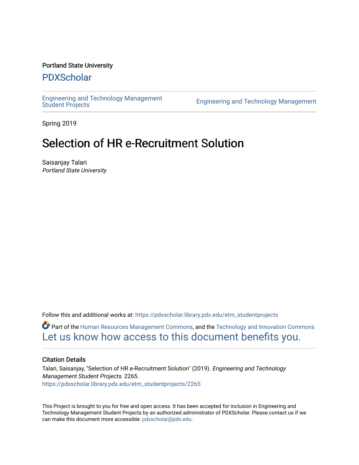#### Portland State University

## [PDXScholar](https://pdxscholar.library.pdx.edu/)

[Engineering and Technology Management](https://pdxscholar.library.pdx.edu/etm_studentprojects) 

**Engineering and Technology Management** 

Spring 2019

# Selection of HR e-Recruitment Solution

Saisanjay Talari Portland State University

Follow this and additional works at: [https://pdxscholar.library.pdx.edu/etm\\_studentprojects](https://pdxscholar.library.pdx.edu/etm_studentprojects?utm_source=pdxscholar.library.pdx.edu%2Fetm_studentprojects%2F2265&utm_medium=PDF&utm_campaign=PDFCoverPages) 

Part of the [Human Resources Management Commons,](http://network.bepress.com/hgg/discipline/633?utm_source=pdxscholar.library.pdx.edu%2Fetm_studentprojects%2F2265&utm_medium=PDF&utm_campaign=PDFCoverPages) and the [Technology and Innovation Commons](http://network.bepress.com/hgg/discipline/644?utm_source=pdxscholar.library.pdx.edu%2Fetm_studentprojects%2F2265&utm_medium=PDF&utm_campaign=PDFCoverPages)  [Let us know how access to this document benefits you.](http://library.pdx.edu/services/pdxscholar-services/pdxscholar-feedback/?ref=https://pdxscholar.library.pdx.edu/etm_studentprojects/2265) 

#### Citation Details

Talari, Saisanjay, "Selection of HR e-Recruitment Solution" (2019). Engineering and Technology Management Student Projects. 2265. [https://pdxscholar.library.pdx.edu/etm\\_studentprojects/2265](https://pdxscholar.library.pdx.edu/etm_studentprojects/2265?utm_source=pdxscholar.library.pdx.edu%2Fetm_studentprojects%2F2265&utm_medium=PDF&utm_campaign=PDFCoverPages)

This Project is brought to you for free and open access. It has been accepted for inclusion in Engineering and Technology Management Student Projects by an authorized administrator of PDXScholar. Please contact us if we can make this document more accessible: [pdxscholar@pdx.edu.](mailto:pdxscholar@pdx.edu)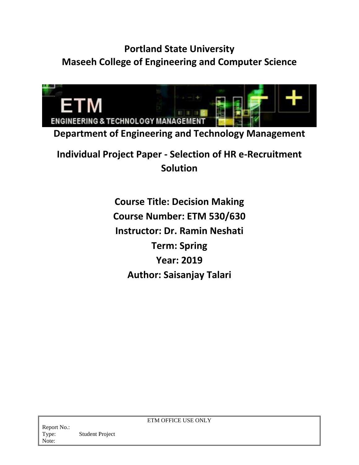# **Portland State University Maseeh College of Engineering and Computer Science**



**Department of Engineering and Technology Management**

**Individual Project Paper - Selection of HR e-Recruitment Solution**

> **Course Title: Decision Making Course Number: ETM 530/630 Instructor: Dr. Ramin Neshati Term: Spring Year: 2019 Author: Saisanjay Talari**

ETM OFFICE USE ONLY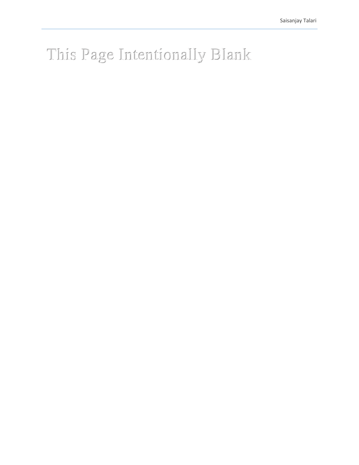This Page Intentionally Blank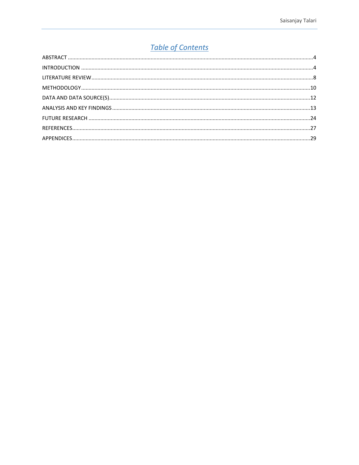## **Table of Contents**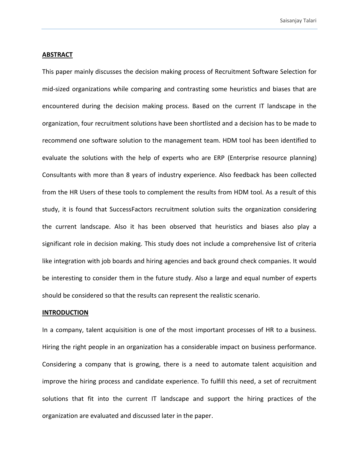#### <span id="page-4-0"></span>**ABSTRACT**

This paper mainly discusses the decision making process of Recruitment Software Selection for mid-sized organizations while comparing and contrasting some heuristics and biases that are encountered during the decision making process. Based on the current IT landscape in the organization, four recruitment solutions have been shortlisted and a decision has to be made to recommend one software solution to the management team. HDM tool has been identified to evaluate the solutions with the help of experts who are ERP (Enterprise resource planning) Consultants with more than 8 years of industry experience. Also feedback has been collected from the HR Users of these tools to complement the results from HDM tool. As a result of this study, it is found that SuccessFactors recruitment solution suits the organization considering the current landscape. Also it has been observed that heuristics and biases also play a significant role in decision making. This study does not include a comprehensive list of criteria like integration with job boards and hiring agencies and back ground check companies. It would be interesting to consider them in the future study. Also a large and equal number of experts should be considered so that the results can represent the realistic scenario.

#### <span id="page-4-1"></span>**INTRODUCTION**

In a company, talent acquisition is one of the most important processes of HR to a business. Hiring the right people in an organization has a considerable impact on business performance. Considering a company that is growing, there is a need to automate talent acquisition and improve the hiring process and candidate experience. To fulfill this need, a set of recruitment solutions that fit into the current IT landscape and support the hiring practices of the organization are evaluated and discussed later in the paper.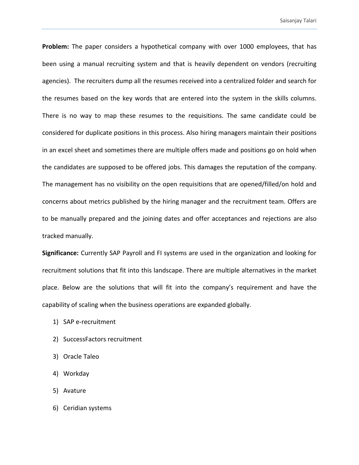**Problem:** The paper considers a hypothetical company with over 1000 employees, that has been using a manual recruiting system and that is heavily dependent on vendors (recruiting agencies). The recruiters dump all the resumes received into a centralized folder and search for the resumes based on the key words that are entered into the system in the skills columns. There is no way to map these resumes to the requisitions. The same candidate could be considered for duplicate positions in this process. Also hiring managers maintain their positions in an excel sheet and sometimes there are multiple offers made and positions go on hold when the candidates are supposed to be offered jobs. This damages the reputation of the company. The management has no visibility on the open requisitions that are opened/filled/on hold and concerns about metrics published by the hiring manager and the recruitment team. Offers are to be manually prepared and the joining dates and offer acceptances and rejections are also tracked manually.

**Significance:** Currently SAP Payroll and FI systems are used in the organization and looking for recruitment solutions that fit into this landscape. There are multiple alternatives in the market place. Below are the solutions that will fit into the company's requirement and have the capability of scaling when the business operations are expanded globally.

- 1) SAP e-recruitment
- 2) SuccessFactors recruitment
- 3) Oracle Taleo
- 4) Workday
- 5) Avature
- 6) Ceridian systems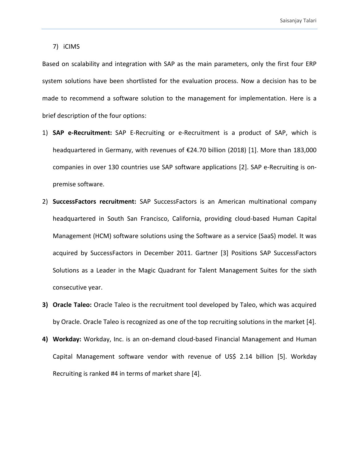7) iCIMS

Based on scalability and integration with SAP as the main parameters, only the first four ERP system solutions have been shortlisted for the evaluation process. Now a decision has to be made to recommend a software solution to the management for implementation. Here is a brief description of the four options:

- 1) **SAP e-Recruitment:** SAP E-Recruiting or e-Recruitment is a product of SAP, which is headquartered in Germany, with revenues of €24.70 billion (2018) [1]. More than 183,000 companies in over 130 countries use SAP software applications [2]. SAP e-Recruiting is onpremise software.
- 2) **SuccessFactors recruitment:** SAP SuccessFactors is an American multinational company headquartered in South San Francisco, California, providing cloud-based Human Capital Management (HCM) software solutions using the Software as a service (SaaS) model. It was acquired by SuccessFactors in December 2011. Gartner [3] Positions SAP SuccessFactors Solutions as a Leader in the Magic Quadrant for Talent Management Suites for the sixth consecutive year.
- **3) Oracle Taleo:** Oracle Taleo is the recruitment tool developed by Taleo, which was acquired by Oracle. Oracle Taleo is recognized as one of the top recruiting solutions in the market [4].
- **4) Workday:** Workday, Inc. is an on‑demand cloud-based Financial Management and Human Capital Management software vendor with revenue of US\$ 2.14 billion [5]. Workday Recruiting is ranked #4 in terms of market share [4].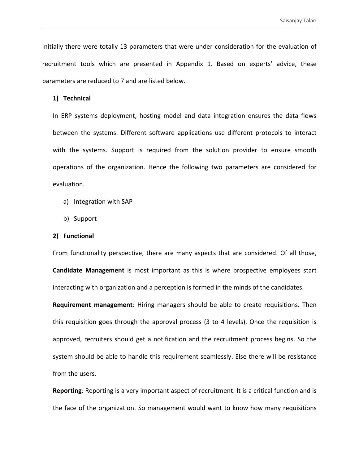Initially there were totally 13 parameters that were under consideration for the evaluation of recruitment tools which are presented in Appendix 1. Based on experts' advice, these parameters are reduced to 7 and are listed below.

#### **1) Technical**

In ERP systems deployment, hosting model and data integration ensures the data flows between the systems. Different software applications use different protocols to interact with the systems. Support is required from the solution provider to ensure smooth operations of the organization. Hence the following two parameters are considered for evaluation.

- a) Integration with SAP
- b) Support

#### **2) Functional**

From functionality perspective, there are many aspects that are considered. Of all those, **Candidate Management** is most important as this is where prospective employees start interacting with organization and a perception is formed in the minds of the candidates.

**Requirement management**: Hiring managers should be able to create requisitions. Then this requisition goes through the approval process (3 to 4 levels). Once the requisition is approved, recruiters should get a notification and the recruitment process begins. So the system should be able to handle this requirement seamlessly. Else there will be resistance from the users.

**Reporting**: Reporting is a very important aspect of recruitment. It is a critical function and is the face of the organization. So management would want to know how many requisitions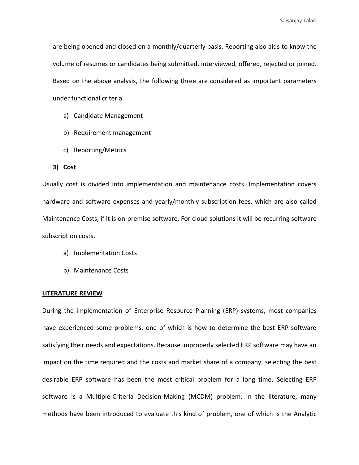are being opened and closed on a monthly/quarterly basis. Reporting also aids to know the volume of resumes or candidates being submitted, interviewed, offered, rejected or joined. Based on the above analysis, the following three are considered as important parameters under functional criteria.

- a) Candidate Management
- b) Requirement management
- c) Reporting/Metrics

#### **3) Cost**

Usually cost is divided into implementation and maintenance costs. Implementation covers hardware and software expenses and yearly/monthly subscription fees, which are also called Maintenance Costs, if it is on-premise software. For cloud solutions it will be recurring software subscription costs.

- a) Implementation Costs
- b) Maintenance Costs

#### <span id="page-8-0"></span>**LITERATURE REVIEW**

During the implementation of Enterprise Resource Planning (ERP) systems, most companies have experienced some problems, one of which is how to determine the best ERP software satisfying their needs and expectations. Because improperly selected ERP software may have an impact on the time required and the costs and market share of a company, selecting the best desirable ERP software has been the most critical problem for a long time. Selecting ERP software is a Multiple-Criteria Decision-Making (MCDM) problem. In the literature, many methods have been introduced to evaluate this kind of problem, one of which is the Analytic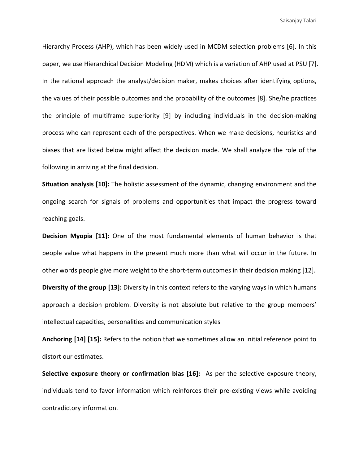Saisanjay Talari

Hierarchy Process (AHP), which has been widely used in MCDM selection problems [6]. In this paper, we use Hierarchical Decision Modeling (HDM) which is a variation of AHP used at PSU [7]. In the rational approach the analyst/decision maker, makes choices after identifying options, the values of their possible outcomes and the probability of the outcomes [8]. She/he practices the principle of multiframe superiority [9] by including individuals in the decision-making process who can represent each of the perspectives. When we make decisions, heuristics and biases that are listed below might affect the decision made. We shall analyze the role of the following in arriving at the final decision.

**Situation analysis [10]:** The holistic assessment of the dynamic, changing environment and the ongoing search for signals of problems and opportunities that impact the progress toward reaching goals.

**Decision Myopia [11]:** One of the most fundamental elements of human behavior is that people value what happens in the present much more than what will occur in the future. In other words people give more weight to the short-term outcomes in their decision making [12]. **Diversity of the group [13]:** Diversity in this context refers to the varying ways in which humans approach a decision problem. Diversity is not absolute but relative to the group members' intellectual capacities, personalities and communication styles

**Anchoring [14] [15]:** Refers to the notion that we sometimes allow an initial reference point to distort our estimates.

**Selective exposure theory or confirmation bias [16]:** As per the selective exposure theory, individuals tend to favor information which reinforces their pre-existing views while avoiding contradictory information.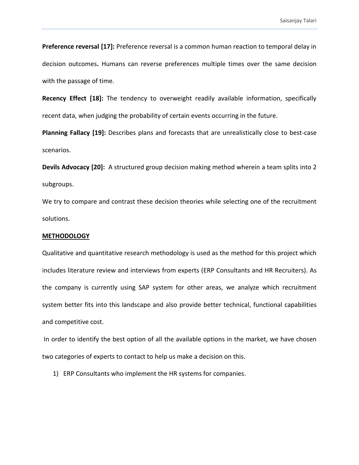**Preference reversal [17]:** Preference reversal is a common human reaction to temporal delay in decision outcomes**.** Humans can reverse preferences multiple times over the same decision with the passage of time.

**Recency Effect [18]:** The tendency to overweight readily available information, specifically recent data, when judging the probability of certain events occurring in the future.

**Planning Fallacy [19]:** Describes plans and forecasts that are unrealistically close to best-case scenarios.

**Devils Advocacy [20]:** A structured group decision making method wherein a team splits into 2 subgroups.

We try to compare and contrast these decision theories while selecting one of the recruitment solutions.

#### <span id="page-10-0"></span>**METHODOLOGY**

Qualitative and quantitative research methodology is used as the method for this project which includes literature review and interviews from experts (ERP Consultants and HR Recruiters). As the company is currently using SAP system for other areas, we analyze which recruitment system better fits into this landscape and also provide better technical, functional capabilities and competitive cost.

In order to identify the best option of all the available options in the market, we have chosen two categories of experts to contact to help us make a decision on this.

1) ERP Consultants who implement the HR systems for companies.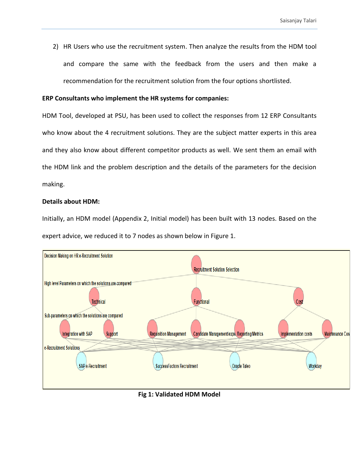2) HR Users who use the recruitment system. Then analyze the results from the HDM tool and compare the same with the feedback from the users and then make a recommendation for the recruitment solution from the four options shortlisted.

#### **ERP Consultants who implement the HR systems for companies:**

HDM Tool, developed at PSU, has been used to collect the responses from 12 ERP Consultants who know about the 4 recruitment solutions. They are the subject matter experts in this area and they also know about different competitor products as well. We sent them an email with the HDM link and the problem description and the details of the parameters for the decision making.

#### **Details about HDM:**

Initially, an HDM model (Appendix 2, Initial model) has been built with 13 nodes. Based on the expert advice, we reduced it to 7 nodes as shown below in Figure 1.



**Fig 1: Validated HDM Model**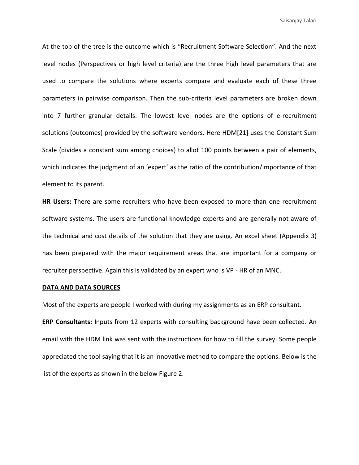Saisanjay Talari

At the top of the tree is the outcome which is "Recruitment Software Selection". And the next level nodes (Perspectives or high level criteria) are the three high level parameters that are used to compare the solutions where experts compare and evaluate each of these three parameters in pairwise comparison. Then the sub-criteria level parameters are broken down into 7 further granular details. The lowest level nodes are the options of e-recruitment solutions (outcomes) provided by the software vendors. Here HDM[21] uses the Constant Sum Scale (divides a constant sum among choices) to allot 100 points between a pair of elements, which indicates the judgment of an 'expert' as the ratio of the contribution/importance of that element to its parent.

**HR Users:** There are some recruiters who have been exposed to more than one recruitment software systems. The users are functional knowledge experts and are generally not aware of the technical and cost details of the solution that they are using. An excel sheet (Appendix 3) has been prepared with the major requirement areas that are important for a company or recruiter perspective. Again this is validated by an expert who is VP - HR of an MNC.

#### <span id="page-12-0"></span>**DATA AND DATA SOURCES**

Most of the experts are people I worked with during my assignments as an ERP consultant.

**ERP Consultants:** Inputs from 12 experts with consulting background have been collected. An email with the HDM link was sent with the instructions for how to fill the survey. Some people appreciated the tool saying that it is an innovative method to compare the options. Below is the list of the experts as shown in the below Figure 2.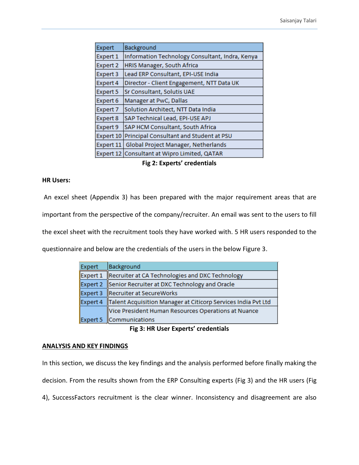| Expert    | Background                                      |
|-----------|-------------------------------------------------|
| Expert 1  | Information Technology Consultant, Indra, Kenya |
| Expert 2  | <b>HRIS Manager, South Africa</b>               |
| Expert 3  | Lead ERP Consultant, EPI-USE India              |
| Expert 4  | Director - Client Engagement, NTT Data UK       |
| Expert 5  | Sr Consultant, Solutis UAE                      |
| Expert 6  | Manager at PwC, Dallas                          |
| Expert 7  | Solution Architect, NTT Data India              |
| Expert 8  | SAP Technical Lead, EPI-USE APJ                 |
| Expert 9  | SAP HCM Consultant, South Africa                |
| Expert 10 | Principal Consultant and Student at PSU         |
| Expert 11 | Global Project Manager, Netherlands             |
|           | Expert 12 Consultant at Wipro Limited, QATAR    |

**Fig 2: Experts' credentials**

#### **HR Users:**

An excel sheet (Appendix 3) has been prepared with the major requirement areas that are important from the perspective of the company/recruiter. An email was sent to the users to fill the excel sheet with the recruitment tools they have worked with. 5 HR users responded to the questionnaire and below are the credentials of the users in the below Figure 3.

| Expert   | Background                                                    |
|----------|---------------------------------------------------------------|
| Expert 1 | Recruiter at CA Technologies and DXC Technology               |
|          | Expert 2 Senior Recruiter at DXC Technology and Oracle        |
| Expert 3 | Recruiter at SecureWorks                                      |
| Expert 4 | Talent Acquisition Manager at Citicorp Services India Pvt Ltd |
|          | Vice President Human Resources Operations at Nuance           |
|          | Expert 5 Communications                                       |

**Fig 3: HR User Experts' credentials**

#### <span id="page-13-0"></span>**ANALYSIS AND KEY FINDINGS**

In this section, we discuss the key findings and the analysis performed before finally making the

decision. From the results shown from the ERP Consulting experts (Fig 3) and the HR users (Fig

4), SuccessFactors recruitment is the clear winner. Inconsistency and disagreement are also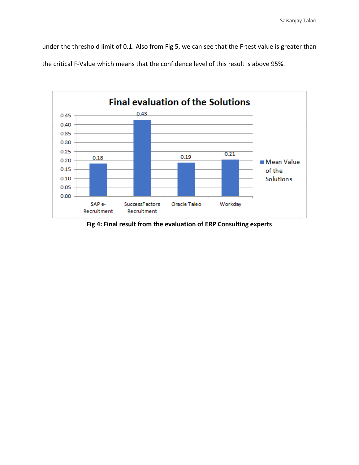under the threshold limit of 0.1. Also from Fig 5, we can see that the F-test value is greater than the critical F-Value which means that the confidence level of this result is above 95%.



**Fig 4: Final result from the evaluation of ERP Consulting experts**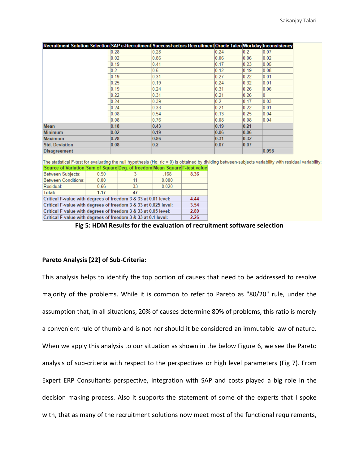| Recruitment Solution Selection SAP e-Recruitment SuccessFactors Recruitment Oracle Taleo Workday Inconsistency |      |      |      |      |       |
|----------------------------------------------------------------------------------------------------------------|------|------|------|------|-------|
|                                                                                                                | 0.28 | 0.28 | 0.24 | 0.2  | 0.07  |
|                                                                                                                | 0.02 | 0.86 | 0.06 | 0.06 | 0.02  |
|                                                                                                                | 0.19 | 0.41 | 0.17 | 0.23 | 0.05  |
|                                                                                                                | 0.2  | 0.5  | 0.12 | 0.19 | 0.08  |
|                                                                                                                | 0.19 | 0.31 | 0.27 | 0.22 | 0.01  |
|                                                                                                                | 0.25 | 0.19 | 0.24 | 0.32 | 0.01  |
|                                                                                                                | 0.19 | 0.24 | 0.31 | 0.26 | 0.06  |
|                                                                                                                | 0.22 | 0.31 | 0.21 | 0.26 | O     |
|                                                                                                                | 0.24 | 0.39 | 0.2  | 0.17 | 0.03  |
|                                                                                                                | 0.24 | 0.33 | 0.21 | 0.22 | 0.01  |
|                                                                                                                | 0.08 | 0.54 | 0.13 | 0.25 | 0.04  |
|                                                                                                                | 0.08 | 0.76 | 0.08 | 0.08 | 0.04  |
| <b>Mean</b>                                                                                                    | 0.18 | 0.43 | 0.19 | 0.21 |       |
| <b>Minimum</b>                                                                                                 | 0.02 | 0.19 | 0.06 | 0.06 |       |
| <b>Maximum</b>                                                                                                 | 0.28 | 0.86 | 0.31 | 0.32 |       |
| <b>Std. Deviation</b>                                                                                          | 0.08 | 0.2  | 0.07 | 0.07 |       |
| <b>Disagreement</b>                                                                                            |      |      |      |      | 0.098 |

The statistical F-test for evaluating the null hypothesis (Ho: ric = 0) is obtained by dividing between-subjects variability with residual variability: of Variation  $\mathcal{C}_{\text{um}}$  of  $\mathcal{C}_{\text{u}}$ ro Doo

| <u>aomee of vananonjaam of aquateloeg, of heeaominean aquateli-reac value</u> |      |    |       |      |  |  |
|-------------------------------------------------------------------------------|------|----|-------|------|--|--|
| Between Subjects:                                                             | 0.50 |    | .168  | 8.36 |  |  |
| Between Conditions:                                                           | 0.00 | 11 | 0.000 |      |  |  |
| Residual:                                                                     | 0.66 | 33 | 0.020 |      |  |  |
| Total:                                                                        | 1.17 | 47 |       |      |  |  |
| Critical F-value with degrees of freedom 3 & 33 at 0.01 level:                |      |    |       |      |  |  |
| Critical F-value with degrees of freedom 3 & 33 at 0.025 level:               |      |    |       |      |  |  |
| Critical F-value with degrees of freedom 3 & 33 at 0.05 level:                |      |    |       | 2.89 |  |  |
| Critical F-value with degrees of freedom 3 & 33 at 0.1 level:                 |      |    |       | 2.26 |  |  |
|                                                                               |      |    |       |      |  |  |

#### **Fig 5: HDM Results for the evaluation of recruitment software selection**

#### **Pareto Analysis [22] of Sub-Criteria:**

This analysis helps to identify the top portion of causes that need to be addressed to resolve majority of the problems. While it is common to refer to Pareto as "80/20" rule, under the assumption that, in all situations, 20% of causes determine 80% of problems, this ratio is merely a convenient rule of thumb and is not nor should it be considered an immutable law of nature. When we apply this analysis to our situation as shown in the below Figure 6, we see the Pareto analysis of sub-criteria with respect to the perspectives or high level parameters (Fig 7). From Expert ERP Consultants perspective, integration with SAP and costs played a big role in the decision making process. Also it supports the statement of some of the experts that I spoke with, that as many of the recruitment solutions now meet most of the functional requirements,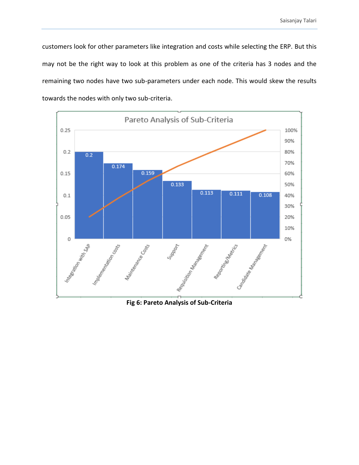customers look for other parameters like integration and costs while selecting the ERP. But this may not be the right way to look at this problem as one of the criteria has 3 nodes and the remaining two nodes have two sub-parameters under each node. This would skew the results towards the nodes with only two sub-criteria.

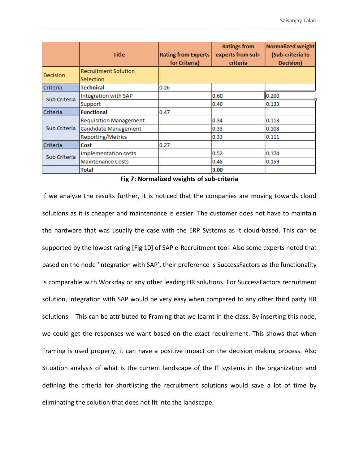|                         | <b>Title</b>                  | <b>Rating from Experts</b><br>for Criteria) | <b>Ratings from</b><br>experts from sub-<br>criteria | <b>Normalized weight</b><br>(Sub-criteria to<br>Decision) |
|-------------------------|-------------------------------|---------------------------------------------|------------------------------------------------------|-----------------------------------------------------------|
|                         | <b>Recruitment Solution</b>   |                                             |                                                      |                                                           |
| <b>Decision</b>         | <b>Selection</b>              |                                             |                                                      |                                                           |
| Criteria                | Technical                     | 0.26                                        |                                                      |                                                           |
| Integration with SAP    |                               |                                             | 0.60                                                 | 0.200                                                     |
| Sub Criteria<br>Support |                               |                                             | 0.40                                                 | 0.133                                                     |
| Criteria                | <b>Functional</b>             | 0.47                                        |                                                      |                                                           |
|                         | <b>Requisition Management</b> |                                             | 0.34                                                 | 0.113                                                     |
| Sub Criteria            | Candidate Management          |                                             | 0.33                                                 | 0.108                                                     |
|                         | Reporting/Metrics             |                                             | 0.33                                                 | 0.111                                                     |
| Criteria                | Cost                          | 0.27                                        |                                                      |                                                           |
| Sub Criteria            | Implementation costs          |                                             | 0.52                                                 | 0.174                                                     |
|                         | <b>Maintenance Costs</b>      |                                             | 0.48                                                 | 0.159                                                     |
|                         | Total                         |                                             | 3.00                                                 |                                                           |

#### **Fig 7: Normalized weights of sub-criteria**

If we analyze the results further, it is noticed that the companies are moving towards cloud solutions as it is cheaper and maintenance is easier. The customer does not have to maintain the hardware that was usually the case with the ERP Systems as it cloud-based. This can be supported by the lowest rating [Fig 10] of SAP e-Recruitment tool. Also some experts noted that based on the node 'integration with SAP', their preference is SuccessFactors as the functionality is comparable with Workday or any other leading HR solutions. For SuccessFactors recruitment solution, integration with SAP would be very easy when compared to any other third party HR solutions. This can be attributed to Framing that we learnt in the class. By inserting this node, we could get the responses we want based on the exact requirement. This shows that when Framing is used properly, it can have a positive impact on the decision making process. Also Situation analysis of what is the current landscape of the IT systems in the organization and defining the criteria for shortlisting the recruitment solutions would save a lot of time by eliminating the solution that does not fit into the landscape.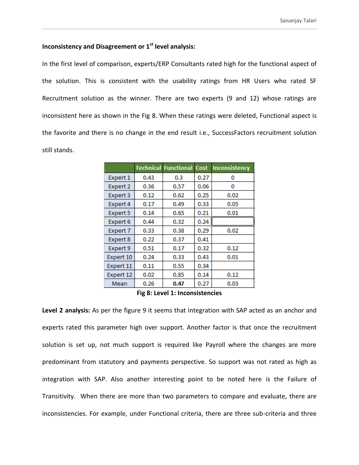### **Inconsistency and Disagreement or 1st level analysis:**

In the first level of comparison, experts/ERP Consultants rated high for the functional aspect of the solution. This is consistent with the usability ratings from HR Users who rated SF Recruitment solution as the winner. There are two experts (9 and 12) whose ratings are inconsistent here as shown in the Fig 8. When these ratings were deleted, Functional aspect is the favorite and there is no change in the end result i.e., SuccessFactors recruitment solution still stands.

|           |      | <b>Technical Functional</b> | <b>Cost</b> | Inconsistency |
|-----------|------|-----------------------------|-------------|---------------|
| Expert 1  | 0.43 | 0.3                         | 0.27        | 0             |
| Expert 2  | 0.36 | 0.57                        | 0.06        | 0             |
| Expert 3  | 0.12 | 0.62                        | 0.25        | 0.02          |
| Expert 4  | 0.17 | 0.49                        | 0.33        | 0.05          |
| Expert 5  | 0.14 | 0.65                        | 0.21        | 0.01          |
| Expert 6  | 0.44 | 0.32                        | 0.24        |               |
| Expert 7  | 0.33 | 0.38                        | 0.29        | 0.02          |
| Expert 8  | 0.22 | 0.37                        | 0.41        |               |
| Expert 9  | 0.51 | 0.17                        | 0.32        | 0.12          |
| Expert 10 | 0.24 | 0.33                        | 0.43        | 0.01          |
| Expert 11 | 0.11 | 0.55                        | 0.34        |               |
| Expert 12 | 0.02 | 0.85                        | 0.14        | 0.12          |
| Mean      | 0.26 | 0.47                        | 0.27        | 0.03          |

#### **Fig 8: Level 1: Inconsistencies**

Level 2 analysis: As per the figure 9 it seems that integration with SAP acted as an anchor and experts rated this parameter high over support. Another factor is that once the recruitment solution is set up, not much support is required like Payroll where the changes are more predominant from statutory and payments perspective. So support was not rated as high as integration with SAP. Also another interesting point to be noted here is the Failure of Transitivity. When there are more than two parameters to compare and evaluate, there are inconsistencies. For example, under Functional criteria, there are three sub-criteria and three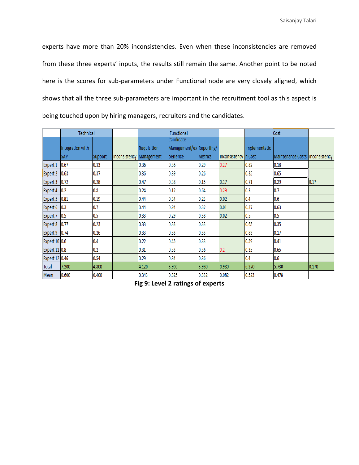experts have more than 20% inconsistencies. Even when these inconsistencies are removed from these three experts' inputs, the results still remain the same. Another point to be noted here is the scores for sub-parameters under Functional node are very closely aligned, which shows that all the three sub-parameters are important in the recruitment tool as this aspect is being touched upon by hiring managers, recruiters and the candidates.

|                 | Technical        |         |                          | Functional  |                          |         | Cost                 |               |                                   |       |
|-----------------|------------------|---------|--------------------------|-------------|--------------------------|---------|----------------------|---------------|-----------------------------------|-------|
|                 |                  |         |                          |             | Candidate                |         |                      |               |                                   |       |
|                 | Integration with |         |                          | Requisition | Management/ex Reporting/ |         |                      | Implementatio |                                   |       |
|                 | <b>SAP</b>       | Support | Inconsistency Management |             | perience                 | Metrics | Inconsistency n Cost |               | Maintenance Costs   Inconsistency |       |
| Expert 1        | 0.67             | 0.33    |                          | 0.36        | 0.36                     | 0.29    | 0.27                 | 0.82          | 0.18                              |       |
| Expert 2        | 0.63             | 0.37    |                          | 0.36        | 0.39                     | 0.26    |                      | 0.35          | 0.65                              |       |
| Expert 3        | 0.72             | 0.28    |                          | 0.47        | 0.38                     | 0.15    | 0.17                 | 0.71          | 0.29                              | 0.17  |
| Expert 4        | 0.2              | 0.8     |                          | 0.24        | 0.12                     | 0.64    | 0.29                 | 0.3           | 0.7                               |       |
| Expert 5        | 0.81             | 0.19    |                          | 0.44        | 0.34                     | 0.23    | 0.02                 | 0.4           | 0.6                               |       |
| Expert 6        | 0.3              | 0.7     |                          | 0.44        | 0.24                     | 0.32    | 0.01                 | 0.37          | 0.63                              |       |
| Expert 7        | 0.5              | 0.5     |                          | 0.33        | 0.29                     | 0.38    | 0.02                 | 0.5           | 0.5                               |       |
| Expert 8        | 0.77             | 0.23    |                          | 0.33        | 0.33                     | 0.33    |                      | 0.65          | 0.35                              |       |
| Expert 9        | 0.74             | 0.26    |                          | 0.33        | 0.33                     | 0.33    |                      | 0.83          | 0.17                              |       |
| Expert $10 0.6$ |                  | 0.4     |                          | 0.22        | 0.45                     | 0.33    |                      | 0.59          | 0.41                              |       |
| Expert 11 0.8   |                  | 0.2     |                          | 0.31        | 0.33                     | 0.36    | 0.2                  | 0.35          | 0.65                              |       |
| Expert 12 0.46  |                  | 0.54    |                          | 0.29        | 0.34                     | 0.36    |                      | 0.4           | 0.6                               |       |
| Total           | 7.200            | 4.800   |                          | 4.120       | 3.900                    | 3.980   | 0.980                | 6.270         | 5.730                             | 0.170 |
| Mean            | 0.600            | 0.400   |                          | 0.343       | 0.325                    | 0.332   | 0.082                | 0.523         | 0.478                             |       |

**Fig 9: Level 2 ratings of experts**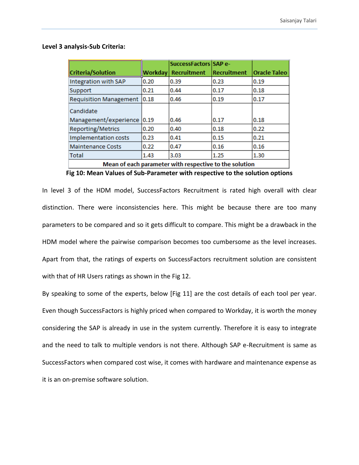|                               |         | SuccessFactors SAP e-                                  |                    |                     |
|-------------------------------|---------|--------------------------------------------------------|--------------------|---------------------|
| <b>Criteria/Solution</b>      | Workday | <b>Recruitment</b>                                     | <b>Recruitment</b> | <b>Oracle Taleo</b> |
| Integration with SAP          | 0.20    | 0.39                                                   | 0.23               | 0.19                |
| Support                       | 0.21    | 0.44                                                   | 0.17               | 0.18                |
| <b>Requisition Management</b> | 0.18    | 0.46                                                   | 0.19               | 0.17                |
| Candidate                     |         |                                                        |                    |                     |
| Management/experience         | 10.19   | 0.46                                                   | 0.17               | 0.18                |
| Reporting/Metrics             | 0.20    | 0.40                                                   | 0.18               | 0.22                |
| Implementation costs          | 0.23    | 0.41                                                   | 0.15               | 0.21                |
| <b>Maintenance Costs</b>      | 0.22    | 0.47                                                   | 0.16               | 0.16                |
| Total                         | 1.43    | 3.03                                                   | 1.25               | 1.30                |
|                               |         | Mean of each parameter with respective to the solution |                    |                     |

#### **Level 3 analysis-Sub Criteria:**

**Fig 10: Mean Values of Sub-Parameter with respective to the solution options**

In level 3 of the HDM model, SuccessFactors Recruitment is rated high overall with clear distinction. There were inconsistencies here. This might be because there are too many parameters to be compared and so it gets difficult to compare. This might be a drawback in the HDM model where the pairwise comparison becomes too cumbersome as the level increases. Apart from that, the ratings of experts on SuccessFactors recruitment solution are consistent with that of HR Users ratings as shown in the Fig 12.

By speaking to some of the experts, below [Fig 11] are the cost details of each tool per year. Even though SuccessFactors is highly priced when compared to Workday, it is worth the money considering the SAP is already in use in the system currently. Therefore it is easy to integrate and the need to talk to multiple vendors is not there. Although SAP e-Recruitment is same as SuccessFactors when compared cost wise, it comes with hardware and maintenance expense as it is an on-premise software solution.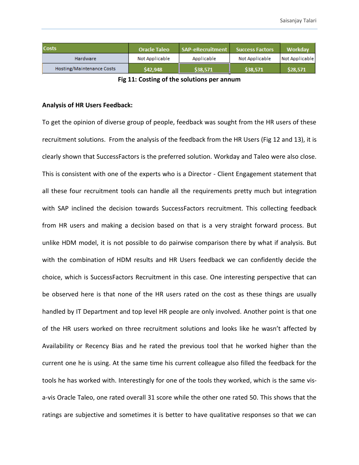| <b>Costs</b>              | <b>Oracle Taleo</b> | SAP-eRecruitment | <b>Success Factors</b> | <b>Workday</b> |
|---------------------------|---------------------|------------------|------------------------|----------------|
| Hardware                  | Not Applicable      | Applicable       | Not Applicable         | Not Applicable |
| Hosting/Maintenance Costs | \$42,948            | \$38,571         | \$38,571               | \$28,571       |

```
Fig 11: Costing of the solutions per annum
```
#### **Analysis of HR Users Feedback:**

To get the opinion of diverse group of people, feedback was sought from the HR users of these recruitment solutions. From the analysis of the feedback from the HR Users (Fig 12 and 13), it is clearly shown that SuccessFactors is the preferred solution. Workday and Taleo were also close. This is consistent with one of the experts who is a Director - Client Engagement statement that all these four recruitment tools can handle all the requirements pretty much but integration with SAP inclined the decision towards SuccessFactors recruitment. This collecting feedback from HR users and making a decision based on that is a very straight forward process. But unlike HDM model, it is not possible to do pairwise comparison there by what if analysis. But with the combination of HDM results and HR Users feedback we can confidently decide the choice, which is SuccessFactors Recruitment in this case. One interesting perspective that can be observed here is that none of the HR users rated on the cost as these things are usually handled by IT Department and top level HR people are only involved. Another point is that one of the HR users worked on three recruitment solutions and looks like he wasn't affected by Availability or Recency Bias and he rated the previous tool that he worked higher than the current one he is using. At the same time his current colleague also filled the feedback for the tools he has worked with. Interestingly for one of the tools they worked, which is the same visa-vis Oracle Taleo, one rated overall 31 score while the other one rated 50. This shows that the ratings are subjective and sometimes it is better to have qualitative responses so that we can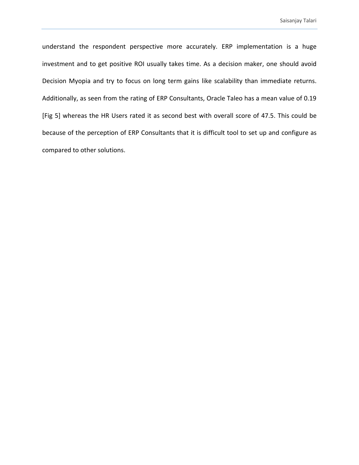understand the respondent perspective more accurately. ERP implementation is a huge investment and to get positive ROI usually takes time. As a decision maker, one should avoid Decision Myopia and try to focus on long term gains like scalability than immediate returns. Additionally, as seen from the rating of ERP Consultants, Oracle Taleo has a mean value of 0.19 [Fig 5] whereas the HR Users rated it as second best with overall score of 47.5. This could be because of the perception of ERP Consultants that it is difficult tool to set up and configure as compared to other solutions.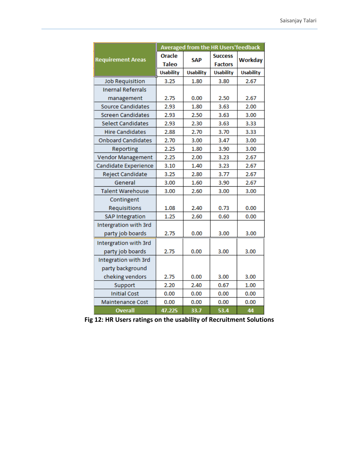|                           |                  | <b>Averaged from the HR Users'feedback</b> |                  |                  |
|---------------------------|------------------|--------------------------------------------|------------------|------------------|
|                           | Oracle           |                                            | <b>Success</b>   |                  |
| <b>Requirement Areas</b>  | <b>Taleo</b>     | <b>SAP</b>                                 | <b>Factors</b>   | Workday          |
|                           | <b>Usability</b> | <b>Usability</b>                           | <b>Usability</b> | <b>Usability</b> |
| <b>Job Requisition</b>    | 3.25             | 1.80                                       | 3.80             | 2.67             |
| <b>Inernal Referrals</b>  |                  |                                            |                  |                  |
| management                | 2.75             | 0.00                                       | 2.50             | 2.67             |
| <b>Source Candidates</b>  | 2.93             | 1.80                                       | 3.63             | 2.00             |
| <b>Screen Candidates</b>  | 2.93             | 2.50                                       | 3.63             | 3.00             |
| <b>Select Candidates</b>  | 2.93             | 2.30                                       | 3.63             | 3.33             |
| <b>Hire Candidates</b>    | 2.88             | 2.70                                       | 3.70             | 3.33             |
| <b>Onboard Candidates</b> | 2.70             | 3.00                                       | 3.47             | 3.00             |
| Reporting                 | 2.25             | 1.80                                       | 3.90             | 3.00             |
| Vendor Management         | 2.25             | 2.00                                       | 3.23             | 2.67             |
| Candidate Experience      | 3.10             | 1.40                                       | 3.23             | 2.67             |
| Reject Candidate          | 3.25             | 2.80                                       | 3.77             | 2.67             |
| General                   | 3.00             | 1.60                                       | 3.90             | 2.67             |
| <b>Talent Warehouse</b>   | 3.00             | 2.60                                       | 3.00             | 3.00             |
| Contingent                |                  |                                            |                  |                  |
| Requisitions              | 1.08             | 2.40                                       | 0.73             | 0.00             |
| <b>SAP Integration</b>    | 1.25             | 2.60                                       | 0.60             | 0.00             |
| Intergration with 3rd     |                  |                                            |                  |                  |
| party job boards          | 2.75             | 0.00                                       | 3.00             | 3.00             |
| Intergration with 3rd     |                  |                                            |                  |                  |
| party job boards          | 2.75             | 0.00                                       | 3.00             | 3.00             |
| Integration with 3rd      |                  |                                            |                  |                  |
| party background          |                  |                                            |                  |                  |
| cheking vendors           | 2.75             | 0.00                                       | 3.00             | 3.00             |
| Support                   | 2.20             | 2.40                                       | 0.67             | 1.00             |
| <b>Initial Cost</b>       | 0.00             | 0.00                                       | 0.00             | 0.00             |
| <b>Maintenance Cost</b>   | 0.00             | 0.00                                       | 0.00             | 0.00             |
| <b>Overall</b>            | 47.225           | 33.7                                       | 53.4             | 44               |

**Fig 12: HR Users ratings on the usability of Recruitment Solutions**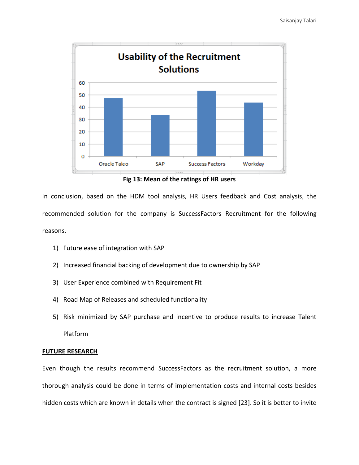

**Fig 13: Mean of the ratings of HR users**

In conclusion, based on the HDM tool analysis, HR Users feedback and Cost analysis, the recommended solution for the company is SuccessFactors Recruitment for the following reasons.

- 1) Future ease of integration with SAP
- 2) Increased financial backing of development due to ownership by SAP
- 3) User Experience combined with Requirement Fit
- 4) Road Map of Releases and scheduled functionality
- 5) Risk minimized by SAP purchase and incentive to produce results to increase Talent Platform

#### <span id="page-24-0"></span>**FUTURE RESEARCH**

Even though the results recommend SuccessFactors as the recruitment solution, a more thorough analysis could be done in terms of implementation costs and internal costs besides hidden costs which are known in details when the contract is signed [23]. So it is better to invite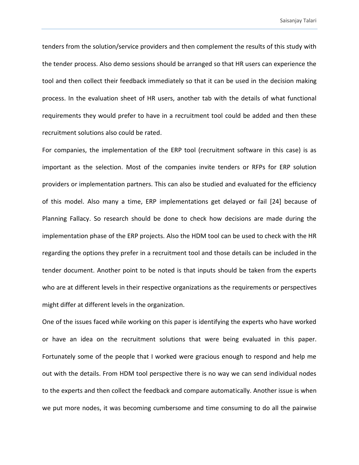tenders from the solution/service providers and then complement the results of this study with the tender process. Also demo sessions should be arranged so that HR users can experience the tool and then collect their feedback immediately so that it can be used in the decision making process. In the evaluation sheet of HR users, another tab with the details of what functional requirements they would prefer to have in a recruitment tool could be added and then these recruitment solutions also could be rated.

For companies, the implementation of the ERP tool (recruitment software in this case) is as important as the selection. Most of the companies invite tenders or RFPs for ERP solution providers or implementation partners. This can also be studied and evaluated for the efficiency of this model. Also many a time, ERP implementations get delayed or fail [24] because of Planning Fallacy. So research should be done to check how decisions are made during the implementation phase of the ERP projects. Also the HDM tool can be used to check with the HR regarding the options they prefer in a recruitment tool and those details can be included in the tender document. Another point to be noted is that inputs should be taken from the experts who are at different levels in their respective organizations as the requirements or perspectives might differ at different levels in the organization.

One of the issues faced while working on this paper is identifying the experts who have worked or have an idea on the recruitment solutions that were being evaluated in this paper. Fortunately some of the people that I worked were gracious enough to respond and help me out with the details. From HDM tool perspective there is no way we can send individual nodes to the experts and then collect the feedback and compare automatically. Another issue is when we put more nodes, it was becoming cumbersome and time consuming to do all the pairwise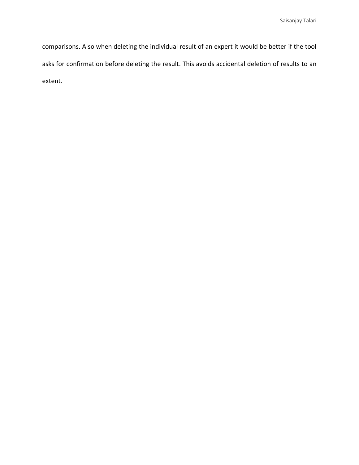comparisons. Also when deleting the individual result of an expert it would be better if the tool asks for confirmation before deleting the result. This avoids accidental deletion of results to an extent.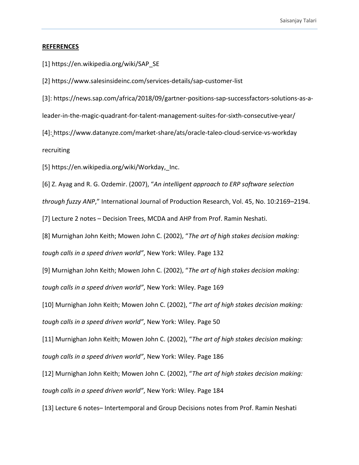#### <span id="page-27-0"></span>**REFERENCES**

- [1] https://en.wikipedia.org/wiki/SAP\_SE
- [2]<https://www.salesinsideinc.com/services-details/sap-customer-list>
- [3]: [https://news.sap.com/africa/2018/09/gartner-positions-sap-successfactors-solutions-as-a-](https://news.sap.com/africa/2018/09/gartner-positions-sap-successfactors-solutions-as-a-leader-in-the-magic-quadrant-for-talent-management-suites-for-sixth-consecutive-year/)

[leader-in-the-magic-quadrant-for-talent-management-suites-for-sixth-consecutive-year/](https://news.sap.com/africa/2018/09/gartner-positions-sap-successfactors-solutions-as-a-leader-in-the-magic-quadrant-for-talent-management-suites-for-sixth-consecutive-year/)

[4]: [https://www.datanyze.com/market-share/ats/oracle-taleo-cloud-service-vs-workday](https://www.datanyze.com/market-share/ats/oracle-taleo-cloud-service-vs-workday%20recruiting)  [recruiting](https://www.datanyze.com/market-share/ats/oracle-taleo-cloud-service-vs-workday%20recruiting)

[5] [https://en.wikipedia.org/wiki/Workday,\\_Inc.](https://en.wikipedia.org/wiki/Workday,_Inc.)

[6] Z. Ayag and R. G. Ozdemir. (2007), "*An intelligent approach to ERP software selection* 

*through fuzzy ANP*," International Journal of Production Research, Vol. 45, No. 10:2169–2194.

[7] Lecture 2 notes – Decision Trees, MCDA and AHP from Prof. Ramin Neshati.

[8] Murnighan John Keith; Mowen John C. (2002), "*The art of high stakes decision making:* 

*tough calls in a speed driven world"*, New York: Wiley. Page 132

[9] Murnighan John Keith; Mowen John C. (2002), "*The art of high stakes decision making:* 

*tough calls in a speed driven world"*, New York: Wiley. Page 169

[10] Murnighan John Keith; Mowen John C. (2002), "*The art of high stakes decision making: tough calls in a speed driven world"*, New York: Wiley. Page 50

[11] Murnighan John Keith; Mowen John C. (2002), "*The art of high stakes decision making: tough calls in a speed driven world"*, New York: Wiley. Page 186

[12] Murnighan John Keith; Mowen John C. (2002), "*The art of high stakes decision making: tough calls in a speed driven world"*, New York: Wiley. Page 184

[13] Lecture 6 notes– Intertemporal and Group Decisions notes from Prof. Ramin Neshati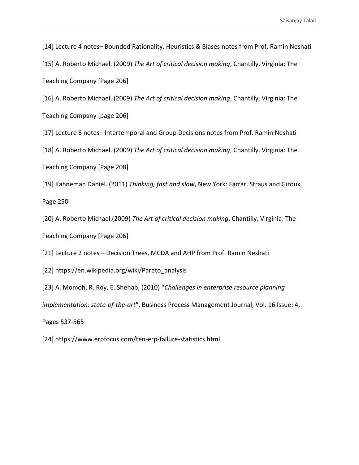[14] Lecture 4 notes– Bounded Rationality, Heuristics & Biases notes from Prof. Ramin Neshati

[15] A. Roberto Michael. (2009) *The Art of critical decision making*, Chantilly, Virginia: The

Teaching Company [Page 206]

[16] A. Roberto Michael. (2009) *The Art of critical decision making*, Chantilly, Virginia: The Teaching Company [page 206]

[17] Lecture 6 notes– Intertemporal and Group Decisions notes from Prof. Ramin Neshati

[18] A. Roberto Michael. (2009) *The Art of critical decision making*, Chantilly, Virginia: The

Teaching Company [Page 208]

[19] Kahneman Daniel. (2011) *Thinking, fast and slow*, New York: Farrar, Straus and Giroux,

Page 250

[20] A. Roberto Michael.(2009) *The Art of critical decision making*, Chantilly, Virginia: The

Teaching Company [Page 206]

[21] Lecture 2 notes – Decision Trees, MCDA and AHP from Prof. Ramin Neshati

[22] [https://en.wikipedia.org/wiki/Pareto\\_analysis](https://en.wikipedia.org/wiki/Pareto_analysis)

[23] A. Momoh, R. Roy, E. Shehab, (2010) "*Challenges in enterprise resource planning implementation: state‐of‐the‐art*", Business Process Management Journal, Vol. 16 Issue: 4,

Pages 537-565

[24] https://www.erpfocus.com/ten-erp-failure-statistics.html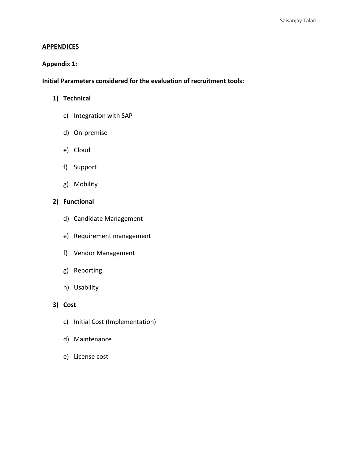#### <span id="page-29-0"></span>**APPENDICES**

#### **Appendix 1:**

**Initial Parameters considered for the evaluation of recruitment tools:**

#### **1) Technical**

- c) Integration with SAP
- d) On-premise
- e) Cloud
- f) Support
- g) Mobility

#### **2) Functional**

- d) Candidate Management
- e) Requirement management
- f) Vendor Management
- g) Reporting
- h) Usability
- **3) Cost**
	- c) Initial Cost (Implementation)
	- d) Maintenance
	- e) License cost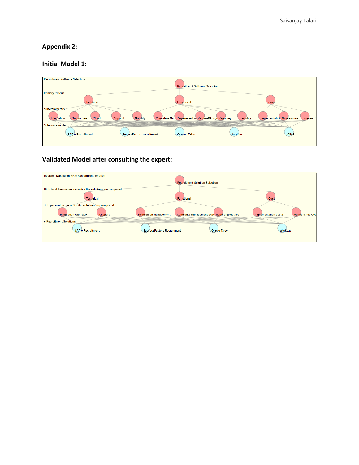## **Appendix 2:**

### **Initial Model 1:**

| <b>Recruitment Software Selection</b>                       |                                   | <b>Recruitment Software Selection</b>                 |                                                                     |
|-------------------------------------------------------------|-----------------------------------|-------------------------------------------------------|---------------------------------------------------------------------|
| <b>Primary Criteria</b><br>Technical                        |                                   | Functional                                            | Cost                                                                |
| Sub-Parameters<br><b>Cloud</b><br>On-premise<br>Integration | <b>Mobility</b><br><b>Support</b> | Candidate Man. Requirement n. Vendorenanage Reporting | <b>Usability</b><br><b>License Co</b><br>Implementation Maintenance |
| <b>Solution Provider</b><br>SAP/e-Recruitment               | SucessFactors recruitment         | Oracle - Taleo                                        | <b>iCIMS</b><br>Avature                                             |

## **Validated Model after consulting the expert:**

| Decision Making on HR e-Recruitment Solution              | <b>Recruitment Solution Selection</b>                                               |                                                       |
|-----------------------------------------------------------|-------------------------------------------------------------------------------------|-------------------------------------------------------|
| High level Parameters on which the solutions are compared |                                                                                     |                                                       |
| <b>Technical</b>                                          | <b>Functional</b>                                                                   | Cost                                                  |
|                                                           |                                                                                     |                                                       |
| Sub-parameters on which the solutions are compared        |                                                                                     |                                                       |
| <b>Integration with SAP</b><br>Support                    | <b>Requisition Management</b><br><b>Candidate Management/expe Reporting/Metrics</b> | <b>Maintenance Cos</b><br><b>Implementation costs</b> |
| e-Recruitment Solutions                                   |                                                                                     |                                                       |
| SAP/e-Recruitment                                         | <b>SuccessFactors Recruitment</b>                                                   | Oracle Taleo<br>Workday                               |
|                                                           |                                                                                     |                                                       |